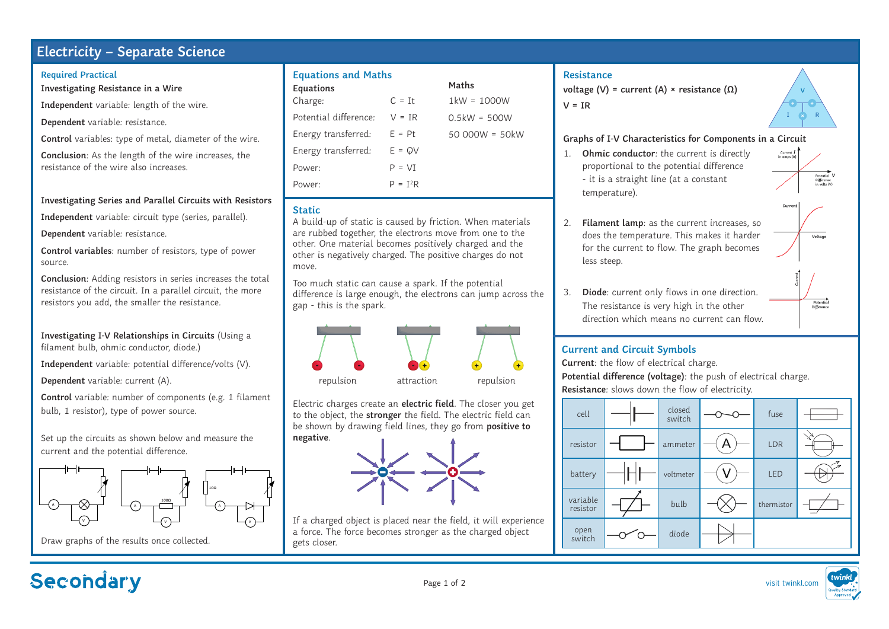# **Electricity – Separate Science**

#### **Required Practical**

**Investigating Resistance in a Wire** 

**Independent** variable: length of the wire.

**Dependent** variable: resistance.

**Control** variables: type of metal, diameter of the wire.

**Conclusion**: As the length of the wire increases, the resistance of the wire also increases.

#### **Investigating Series and Parallel Circuits with Resistors**

**Independent** variable: circuit type (series, parallel).

**Dependent** variable: resistance.

**Control variables**: number of resistors, type of power source.

**Conclusion**: Adding resistors in series increases the total resistance of the circuit. In a parallel circuit, the more resistors you add, the smaller the resistance.

#### **Investigating I-V Relationships in Circuits** (Using a filament bulb, ohmic conductor, diode.)

**Independent** variable: potential difference/volts (V).

**Dependent** variable: current (A).

**Control** variable: number of components (e.g. 1 filament bulb, 1 resistor), type of power source.

Set up the circuits as shown below and measure the current and the potential difference.



Draw graphs of the results once collected.

| <b>Equations and Maths</b> |            |                               |
|----------------------------|------------|-------------------------------|
| Equations                  |            | Maths                         |
| Charge:                    | $C = It$   | $1 \text{kW} = 1000 \text{W}$ |
| Potential difference:      | $V = IR$   | $0.5kW = 500W$                |
| Energy transferred:        | $E = Pt$   | $50000W = 50kW$               |
| Energy transferred:        | $E = QV$   |                               |
| Power:                     | $P = VI$   |                               |
| Power:                     | $P = I^2R$ |                               |
|                            |            |                               |

#### **Static**

A build-up of static is caused by friction. When materials are rubbed together, the electrons move from one to the other. One material becomes positively charged and the other is negatively charged. The positive charges do not move.

Too much static can cause a spark. If the potential difference is large enough, the electrons can jump across the gap - this is the spark.



Electric charges create an **electric field**. The closer you get to the object, the **stronger** the field. The electric field can be shown by drawing field lines, they go from **positive to negative**.

If a charged object is placed near the field, it will experience a force. The force becomes stronger as the charged object gets closer.

#### **Resistance**

**voltage (V) = current (A) × resistance (Ω)**   $V = IR$ 

#### **Graphs of I-V Characteristics for Components in a Circuit**

- 1. **Ohmic conductor**: the current is directly proportional to the potential difference - it is a straight line (at a constant temperature).
- 2. **Filament lamp**: as the current increases, so does the temperature. This makes it harder for the current to flow. The graph becomes less steep.
- 3. **Diode**: current only flows in one direction. The resistance is very high in the other direction which means no current can flow.

### **Current and Circuit Symbols**

**Current**: the flow of electrical charge. **Potential difference (voltage)**: the push of electrical charge. **Resistance**: slows down the flow of electricity.





**Page 1 of 2** visit twinkl.com

**V**

**I × R ÷ ÷**

Potential V<br>Difference<br>in volts (V)

 $Valtens$ 

Current  $I$ <br>in amns  $\Delta$ 

Currel